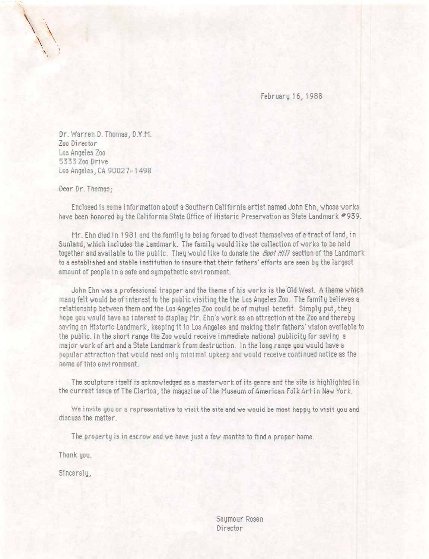February 16,1988

Dr. Warren 0. Thomas, D.Y.M. Zoo Director Los Angeles Zoo 5333 Zoo Drive Los Angeles,. CA 90027-1498

Dear Dr. Thomas;

Enclosed is some information about a Southern California artist named John Ehn, whose works have been honored by the California State Office of Historic Preservation as State Landmark #939.

Mr. Ehndied In 1981 and the family Is being forced to divest themselves of a tract of land, in Sunland, which Includes the Landmark. The family would like the collection of works to be held together and available to the public. They would like to donate the *Boot Hill* section of the Landmark to a established and stable institution to insure that their fathers' efforts are seen by the largest amount of people in a safe and sympathetic environment.

John Ehn was a professional trapper and the theme of his works is the Old West. A theme which many felt would be of Interest to the public visiting the the Los Angeles Zoo. The family believes a relationship between them and the Los Angeles Zoo could be of mutual benefit. Simply put, they hope you would have an Interest to display Mr. Ehn's work as an attraction at the Zoo and thereby saving an Historic Landmark, keeping it in Los Angeles and making their fathers' vision available to the public. In the short range the Zoo would receive immediate national publicity for saving a major work of art and a State Landmark from destruction. !n the long range you would have a popular attraction that would need only minimal upkeep and would receive continued notice as the home of this environment.

The sculpture itself is acknowledged as a mastervork of its genre and the site is highlighted in the current issue of The Clarion, the magazine of the Museum of American Folk Art In New York.

We invite you or a representative to visit the site and we would be most happy to visit you and discuss the matter.

The property is in escrow and we have just a few months to find a proper home.

Thank you.

SI ncerely.

Seymour Rosen Director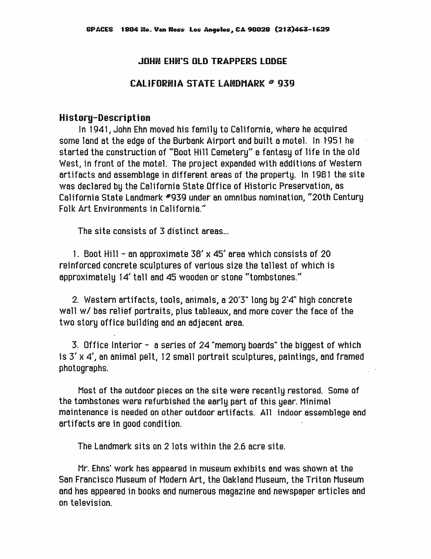## JOHN EHN'S OLD TRAPPERS LODGE

## $CAL$  I FORNIA STATE LANDMARK  $\in$  939

## History-Description

In 1941, John Ehn moved his family to California, where he acquired some land at the edge of the Burbank Airport and built a motel. In 1-951 he started the construction of "Boot Hill Cemetery" a fantasy of life in the old West, in front of the motel. The project expanded with additions of Western artifacts and assemblage in different areas of the property. In 1981 the site was declared by the California State Office of Historic Preservation, as California State Landmark #939 under an omnibus nomination, "20th Century Folk Art Environments in California."

The site consists of 3 distinct areas...

1. Boot Hill - an approximate 38' x 45' area which consists of 20 reinforced concrete sculptures of various size the tallest of which is approximately 14' tall and 45 wooden or stone "tombstones."

2. Western artifacts, tools, animals, a 20'3" long by 2'4" high concrete wall w/ bas relief portraits, plus tableaux, and more cover the face of the two story office building and an adjacent area.

3. Office Interior - a series of 24 "memory boards" the biggest of which is  $3'$  x  $4'$ , an animal pelt, 12 small portrait sculptures, paintings, and framed photographs.

Most of the outdoor pieces on the site were recently restored. Some of the tombstones were refurbished the early part of this year. Minimal maintenance is needed on other outdoor artifacts. All indoor assemblage and artifacts are in good condition.

The Landmark sits on 2 lots within the 2.6 acre site.

Mr. Ehns' work has appeared in museum exhibits and was shown at the San Francisco Museum of Modem Art, the Oakland Museum, the Triton Museum and has appeared In books and numerous magazine and newspaper articles and on television